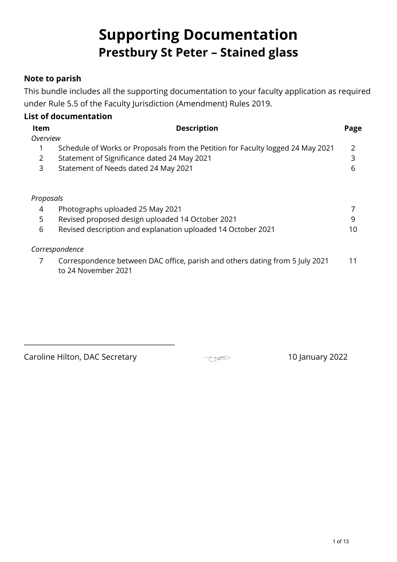# **Supporting Documentation Prestbury St Peter – Stained glass**

# **Note to parish**

This bundle includes all the supporting documentation to your faculty application as required under Rule 5.5 of the Faculty Jurisdiction (Amendment) Rules 2019.

# **List of documentation**

| ltem           | <b>Description</b>                                                                                  | Page |
|----------------|-----------------------------------------------------------------------------------------------------|------|
| Overview       |                                                                                                     |      |
|                | Schedule of Works or Proposals from the Petition for Faculty logged 24 May 2021                     |      |
| $\overline{2}$ | Statement of Significance dated 24 May 2021                                                         | 3    |
| 3              | Statement of Needs dated 24 May 2021                                                                | 6    |
| Proposals      |                                                                                                     |      |
| 4              | Photographs uploaded 25 May 2021                                                                    |      |
| 5              | Revised proposed design uploaded 14 October 2021                                                    | 9    |
| 6              | Revised description and explanation uploaded 14 October 2021                                        | 10   |
|                | Correspondence                                                                                      |      |
|                | Correspondence between DAC office, parish and others dating from 5 July 2021<br>to 24 November 2021 |      |

Caroline Hilton, DAC Secretary 10 January 2022

\_\_\_\_\_\_\_\_\_\_\_\_\_\_\_\_\_\_\_\_\_\_\_\_\_\_\_\_\_\_\_\_\_\_\_\_\_\_\_\_\_\_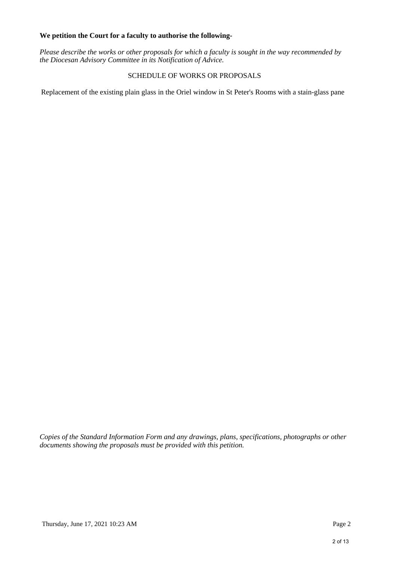#### **We petition the Court for a faculty to authorise the following-**

*Please describe the works or other proposals for which a faculty is sought in the way recommended by the Diocesan Advisory Committee in its Notification of Advice.*

#### SCHEDULE OF WORKS OR PROPOSALS

Replacement of the existing plain glass in the Oriel window in St Peter's Rooms with a stain-glass pane

*Copies of the Standard Information Form and any drawings, plans, specifications, photographs or other documents showing the proposals must be provided with this petition.*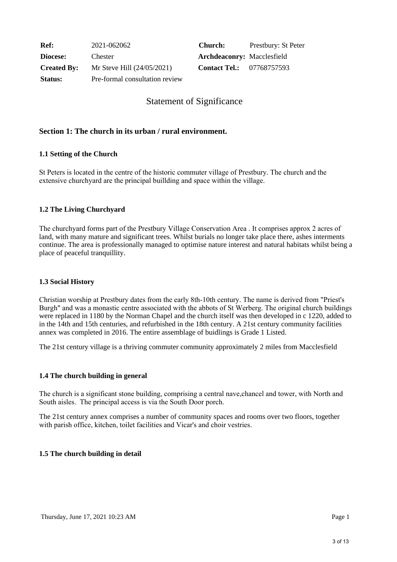| Ref:               | 2021-062062                    | <b>Church:</b>                    | Prestbury: St Peter |
|--------------------|--------------------------------|-----------------------------------|---------------------|
| Diocese:           | <b>Chester</b>                 | <b>Archdeaconry:</b> Macclesfield |                     |
| <b>Created By:</b> | Mr Steve Hill $(24/05/2021)$   | <b>Contact Tel.:</b> 07768757593  |                     |
| Status:            | Pre-formal consultation review |                                   |                     |

### Statement of Significance

#### **Section 1: The church in its urban / rural environment.**

#### **1.1 Setting of the Church**

St Peters is located in the centre of the historic commuter village of Prestbury. The church and the extensive churchyard are the principal buillding and space within the village.

#### **1.2 The Living Churchyard**

The churchyard forms part of the Prestbury Village Conservation Area . It comprises approx 2 acres of land, with many mature and significant trees. Whilst burials no longer take place there, ashes interments continue. The area is professionally managed to optimise nature interest and natural habitats whilst being a place of peaceful tranquillity.

#### **1.3 Social History**

Christian worship at Prestbury dates from the early 8th-10th century. The name is derived from "Priest's Burgh" and was a monastic centre associated with the abbots of St Werberg. The original church buildings were replaced in 1180 by the Norman Chapel and the church itself was then developed in c 1220, added to in the 14th and 15th centuries, and refurbished in the 18th century. A 21st century community facilities annex was completed in 2016. The entire assemblage of buidlings is Grade 1 Listed.

The 21st century village is a thriving commuter community approximately 2 miles from Macclesfield

#### **1.4 The church building in general**

The church is a significant stone building, comprising a central nave,chancel and tower, with North and South aisles. The principal access is via the South Door porch.

The 21st century annex comprises a number of community spaces and rooms over two floors, together with parish office, kitchen, toilet facilities and Vicar's and choir vestries.

#### **1.5 The church building in detail**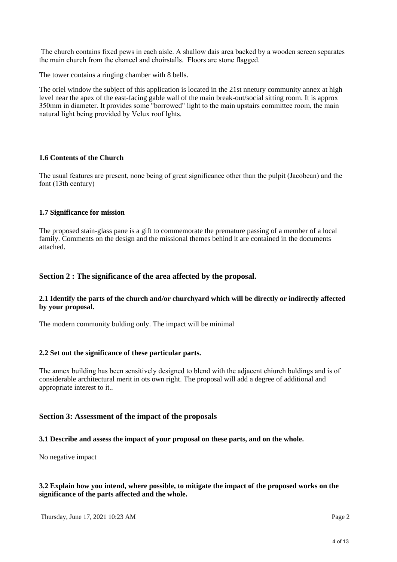The church contains fixed pews in each aisle. A shallow dais area backed by a wooden screen separates the main church from the chancel and choirstalls. Floors are stone flagged.

The tower contains a ringing chamber with 8 bells.

The oriel window the subject of this application is located in the 21st nnetury community annex at high level near the apex of the east-facing gable wall of the main break-out/social sitting room. It is approx 350mm in diameter. It provides some "borrowed" light to the main upstairs committee room, the main natural light being provided by Velux roof lghts.

#### **1.6 Contents of the Church**

The usual features are present, none being of great significance other than the pulpit (Jacobean) and the font (13th century)

#### **1.7 Significance for mission**

The proposed stain-glass pane is a gift to commemorate the premature passing of a member of a local family. Comments on the design and the missional themes behind it are contained in the documents attached.

#### **Section 2 : The significance of the area affected by the proposal.**

#### **2.1 Identify the parts of the church and/or churchyard which will be directly or indirectly affected by your proposal.**

The modern community bulding only. The impact will be minimal

#### **2.2 Set out the significance of these particular parts.**

The annex building has been sensitively designed to blend with the adjacent chiurch buldings and is of considerable architectural merit in ots own right. The proposal will add a degree of additional and appropriate interest to it..

#### **Section 3: Assessment of the impact of the proposals**

#### **3.1 Describe and assess the impact of your proposal on these parts, and on the whole.**

No negative impact

#### **3.2 Explain how you intend, where possible, to mitigate the impact of the proposed works on the significance of the parts affected and the whole.**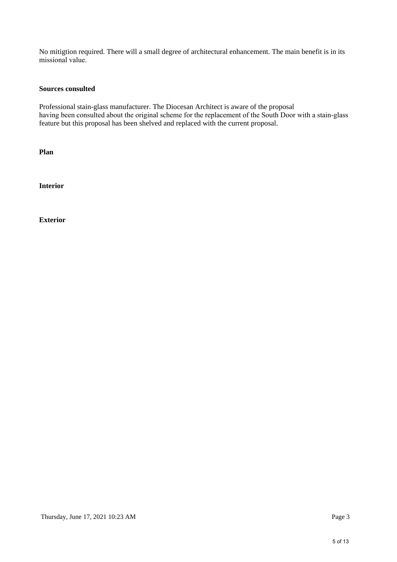No mitigtion required. There will a small degree of architectural enhancement. The main benefit is in its missional value.

#### **Sources consulted**

Professional stain-glass manufacturer. The Diocesan Architect is aware of the proposal having been consulted about the original scheme for the replacement of the South Door with a stain-glass feature but this proposal has been shelved and replaced with the current proposal.

**Plan**

**Interior**

**Exterior**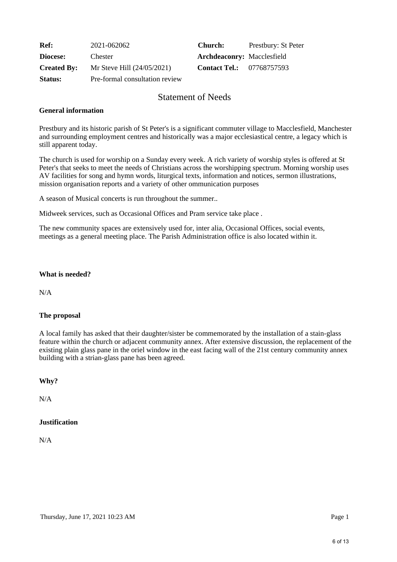| <b>Ref:</b>        | 2021-062062                    | <b>Church:</b>                    | Prestbury: St Peter |
|--------------------|--------------------------------|-----------------------------------|---------------------|
| Diocese:           | <b>Chester</b>                 | <b>Archdeaconry:</b> Macclesfield |                     |
| <b>Created By:</b> | Mr Steve Hill $(24/05/2021)$   | <b>Contact Tel.:</b> 07768757593  |                     |
| <b>Status:</b>     | Pre-formal consultation review |                                   |                     |

#### Statement of Needs

#### **General information**

Prestbury and its historic parish of St Peter's is a significant commuter village to Macclesfield, Manchester and surrounding employment centres and historically was a major ecclesiastical centre, a legacy which is still apparent today.

The church is used for worship on a Sunday every week. A rich variety of worship styles is offered at St Peter's that seeks to meet the needs of Christians across the worshipping spectrum. Morning worship uses AV facilities for song and hymn words, liturgical texts, information and notices, sermon illustrations, mission organisation reports and a variety of other ommunication purposes

A season of Musical concerts is run throughout the summer..

Midweek services, such as Occasional Offices and Pram service take place .

The new community spaces are extensively used for, inter alia, Occasional Offices, social events, meetings as a general meeting place. The Parish Administration office is also located within it.

#### **What is needed?**

N/A

#### **The proposal**

A local family has asked that their daughter/sister be commemorated by the installation of a stain-glass feature within the church or adjacent community annex. After extensive discussion, the replacement of the existing plain glass pane in the oriel window in the east facing wall of the 21st century community annex building with a strian-glass pane has been agreed.

#### **Why?**

N/A

#### **Justification**

N/A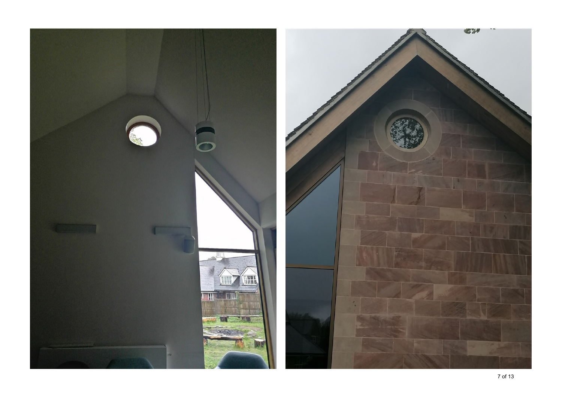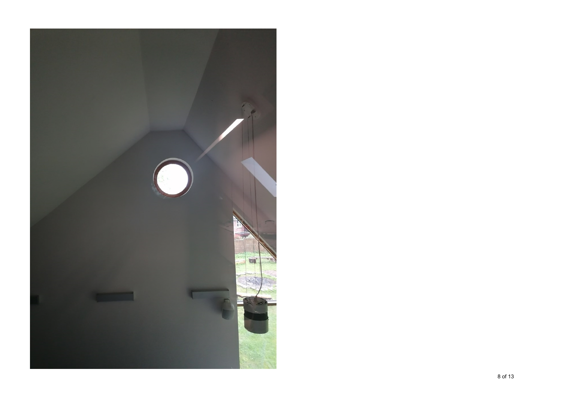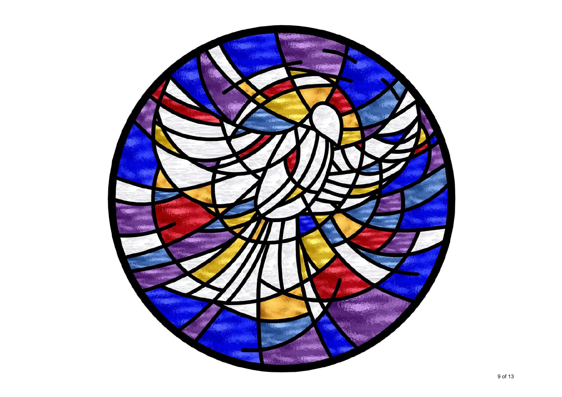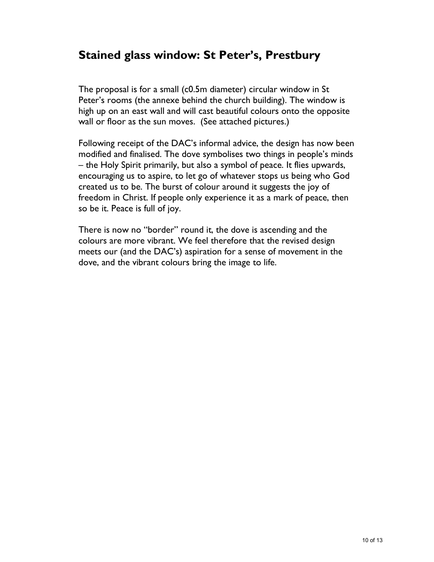# **Stained glass window: St Peter's, Prestbury**

The proposal is for a small (c0.5m diameter) circular window in St Peter's rooms (the annexe behind the church building). The window is high up on an east wall and will cast beautiful colours onto the opposite wall or floor as the sun moves. (See attached pictures.)

Following receipt of the DAC's informal advice, the design has now been modified and finalised. The dove symbolises two things in people's minds – the Holy Spirit primarily, but also a symbol of peace. It flies upwards, encouraging us to aspire, to let go of whatever stops us being who God created us to be. The burst of colour around it suggests the joy of freedom in Christ. If people only experience it as a mark of peace, then so be it. Peace is full of joy.

There is now no "border" round it, the dove is ascending and the colours are more vibrant. We feel therefore that the revised design meets our (and the DAC's) aspiration for a sense of movement in the dove, and the vibrant colours bring the image to life.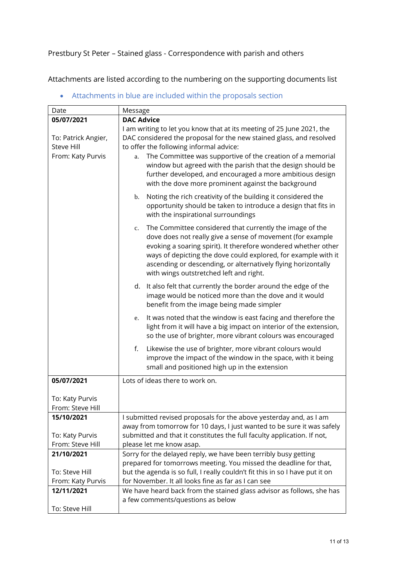# Prestbury St Peter – Stained glass - Correspondence with parish and others

Attachments are listed according to the numbering on the supporting documents list

| Date                                                          | Message                                                                                                                                                                                                                                                                                                                                                                                                                                        |
|---------------------------------------------------------------|------------------------------------------------------------------------------------------------------------------------------------------------------------------------------------------------------------------------------------------------------------------------------------------------------------------------------------------------------------------------------------------------------------------------------------------------|
| 05/07/2021                                                    | <b>DAC Advice</b>                                                                                                                                                                                                                                                                                                                                                                                                                              |
| To: Patrick Angier,<br><b>Steve Hill</b><br>From: Katy Purvis | I am writing to let you know that at its meeting of 25 June 2021, the<br>DAC considered the proposal for the new stained glass, and resolved<br>to offer the following informal advice:<br>The Committee was supportive of the creation of a memorial<br>a.<br>window but agreed with the parish that the design should be<br>further developed, and encouraged a more ambitious design<br>with the dove more prominent against the background |
|                                                               | Noting the rich creativity of the building it considered the<br>b.<br>opportunity should be taken to introduce a design that fits in<br>with the inspirational surroundings                                                                                                                                                                                                                                                                    |
|                                                               | The Committee considered that currently the image of the<br>c.<br>dove does not really give a sense of movement (for example<br>evoking a soaring spirit). It therefore wondered whether other<br>ways of depicting the dove could explored, for example with it<br>ascending or descending, or alternatively flying horizontally<br>with wings outstretched left and right.                                                                   |
|                                                               | It also felt that currently the border around the edge of the<br>d.<br>image would be noticed more than the dove and it would<br>benefit from the image being made simpler                                                                                                                                                                                                                                                                     |
|                                                               | It was noted that the window is east facing and therefore the<br>e.<br>light from it will have a big impact on interior of the extension,<br>so the use of brighter, more vibrant colours was encouraged                                                                                                                                                                                                                                       |
|                                                               | f.<br>Likewise the use of brighter, more vibrant colours would<br>improve the impact of the window in the space, with it being<br>small and positioned high up in the extension                                                                                                                                                                                                                                                                |
| 05/07/2021                                                    | Lots of ideas there to work on.                                                                                                                                                                                                                                                                                                                                                                                                                |
| To: Katy Purvis<br>From: Steve Hill                           |                                                                                                                                                                                                                                                                                                                                                                                                                                                |
| 15/10/2021                                                    | I submitted revised proposals for the above yesterday and, as I am<br>away from tomorrow for 10 days, I just wanted to be sure it was safely<br>submitted and that it constitutes the full faculty application. If not,                                                                                                                                                                                                                        |
| To: Katy Purvis<br>From: Steve Hill                           | please let me know asap.                                                                                                                                                                                                                                                                                                                                                                                                                       |
| 21/10/2021                                                    | Sorry for the delayed reply, we have been terribly busy getting                                                                                                                                                                                                                                                                                                                                                                                |
|                                                               | prepared for tomorrows meeting. You missed the deadline for that,                                                                                                                                                                                                                                                                                                                                                                              |
| To: Steve Hill                                                | but the agenda is so full, I really couldn't fit this in so I have put it on                                                                                                                                                                                                                                                                                                                                                                   |
| From: Katy Purvis                                             | for November. It all looks fine as far as I can see                                                                                                                                                                                                                                                                                                                                                                                            |
| 12/11/2021                                                    | We have heard back from the stained glass advisor as follows, she has                                                                                                                                                                                                                                                                                                                                                                          |
| To: Steve Hill                                                | a few comments/questions as below                                                                                                                                                                                                                                                                                                                                                                                                              |

• Attachments in blue are included within the proposals section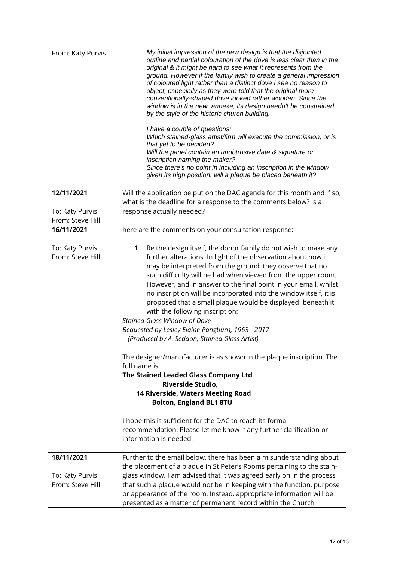| From: Katy Purvis                                 | My initial impression of the new design is that the disjointed<br>outline and partial colouration of the dove is less clear than in the<br>original & it might be hard to see what it represents from the<br>ground. However if the family wish to create a general impression<br>of coloured light rather than a distinct dove I see no reason to<br>object, especially as they were told that the original more<br>conventionally-shaped dove looked rather wooden. Since the<br>window is in the new annexe, its design needn't be constrained<br>by the style of the historic church building.<br>I have a couple of questions:<br>Which stained-glass artist/firm will execute the commission, or is<br>that yet to be decided?<br>Will the panel contain an unobtrusive date & signature or<br>inscription naming the maker?<br>Since there's no point in including an inscription in the window<br>given its high position, will a plaque be placed beneath it? |
|---------------------------------------------------|------------------------------------------------------------------------------------------------------------------------------------------------------------------------------------------------------------------------------------------------------------------------------------------------------------------------------------------------------------------------------------------------------------------------------------------------------------------------------------------------------------------------------------------------------------------------------------------------------------------------------------------------------------------------------------------------------------------------------------------------------------------------------------------------------------------------------------------------------------------------------------------------------------------------------------------------------------------------|
| 12/11/2021<br>To: Katy Purvis                     | Will the application be put on the DAC agenda for this month and if so,<br>what is the deadline for a response to the comments below? Is a<br>response actually needed?                                                                                                                                                                                                                                                                                                                                                                                                                                                                                                                                                                                                                                                                                                                                                                                                |
| From: Steve Hill<br>16/11/2021                    | here are the comments on your consultation response:                                                                                                                                                                                                                                                                                                                                                                                                                                                                                                                                                                                                                                                                                                                                                                                                                                                                                                                   |
|                                                   |                                                                                                                                                                                                                                                                                                                                                                                                                                                                                                                                                                                                                                                                                                                                                                                                                                                                                                                                                                        |
| To: Katy Purvis<br>From: Steve Hill               | 1. Re the design itself, the donor family do not wish to make any<br>further alterations. In light of the observation about how it<br>may be interpreted from the ground, they observe that no<br>such difficulty will be had when viewed from the upper room.<br>However, and in answer to the final point in your email, whilst<br>no inscription will be incorporated into the window itself, it is<br>proposed that a small plaque would be displayed beneath it<br>with the following inscription:<br><b>Stained Glass Window of Dove</b><br>Bequested by Lesley Elaine Pangburn, 1963 - 2017<br>(Produced by A. Seddon, Stained Glass Artist)<br>The designer/manufacturer is as shown in the plaque inscription. The                                                                                                                                                                                                                                            |
|                                                   | full name is:<br>The Stained Leaded Glass Company Ltd<br>Riverside Studio,<br>14 Riverside, Waters Meeting Road<br><b>Bolton, England BL1 8TU</b>                                                                                                                                                                                                                                                                                                                                                                                                                                                                                                                                                                                                                                                                                                                                                                                                                      |
|                                                   | I hope this is sufficient for the DAC to reach its formal<br>recommendation. Please let me know if any further clarification or<br>information is needed.                                                                                                                                                                                                                                                                                                                                                                                                                                                                                                                                                                                                                                                                                                                                                                                                              |
| 18/11/2021<br>To: Katy Purvis<br>From: Steve Hill | Further to the email below, there has been a misunderstanding about<br>the placement of a plaque in St Peter's Rooms pertaining to the stain-<br>glass window. I am advised that it was agreed early on in the process<br>that such a plaque would not be in keeping with the function, purpose<br>or appearance of the room. Instead, appropriate information will be<br>presented as a matter of permanent record within the Church                                                                                                                                                                                                                                                                                                                                                                                                                                                                                                                                  |